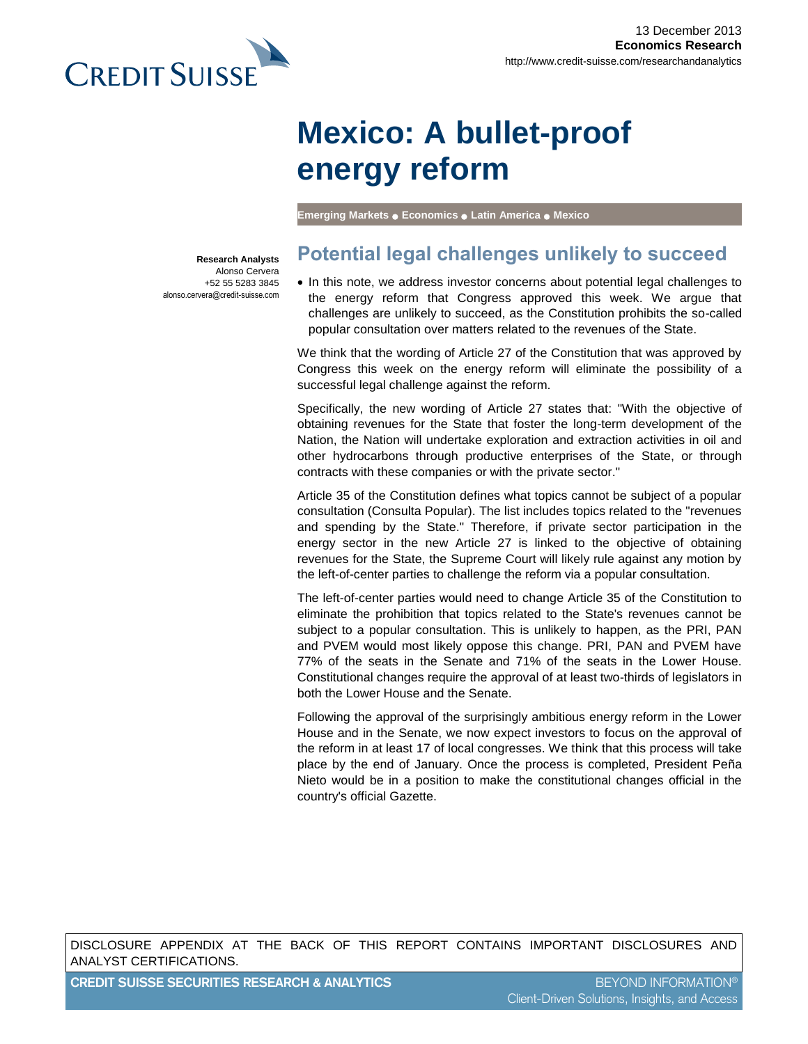

# **Mexico: A bullet-proof energy reform**

**Emerging Markets** ● **Economics** ● **Latin America** ● **Mexico**

**Research Analysts** Alonso Cervera +52 55 5283 3845 alonso.cervera@credit-suisse.com

## **Potential legal challenges unlikely to succeed**

• In this note, we address investor concerns about potential legal challenges to the energy reform that Congress approved this week. We argue that challenges are unlikely to succeed, as the Constitution prohibits the so-called popular consultation over matters related to the revenues of the State.

We think that the wording of Article 27 of the Constitution that was approved by Congress this week on the energy reform will eliminate the possibility of a successful legal challenge against the reform.

Specifically, the new wording of Article 27 states that: "With the objective of obtaining revenues for the State that foster the long-term development of the Nation, the Nation will undertake exploration and extraction activities in oil and other hydrocarbons through productive enterprises of the State, or through contracts with these companies or with the private sector."

Article 35 of the Constitution defines what topics cannot be subject of a popular consultation (Consulta Popular). The list includes topics related to the "revenues and spending by the State." Therefore, if private sector participation in the energy sector in the new Article 27 is linked to the objective of obtaining revenues for the State, the Supreme Court will likely rule against any motion by the left-of-center parties to challenge the reform via a popular consultation.

The left-of-center parties would need to change Article 35 of the Constitution to eliminate the prohibition that topics related to the State's revenues cannot be subject to a popular consultation. This is unlikely to happen, as the PRI, PAN and PVEM would most likely oppose this change. PRI, PAN and PVEM have 77% of the seats in the Senate and 71% of the seats in the Lower House. Constitutional changes require the approval of at least two-thirds of legislators in both the Lower House and the Senate.

Following the approval of the surprisingly ambitious energy reform in the Lower House and in the Senate, we now expect investors to focus on the approval of the reform in at least 17 of local congresses. We think that this process will take place by the end of January. Once the process is completed, President Peña Nieto would be in a position to make the constitutional changes official in the country's official Gazette.

DISCLOSURE APPENDIX AT THE BACK OF THIS REPORT CONTAINS IMPORTANT DISCLOSURES AND ANALYST CERTIFICATIONS.

**CREDIT SUISSE SECURITIES RESEARCH & ANALYTICS** BEYOND INFORMATION®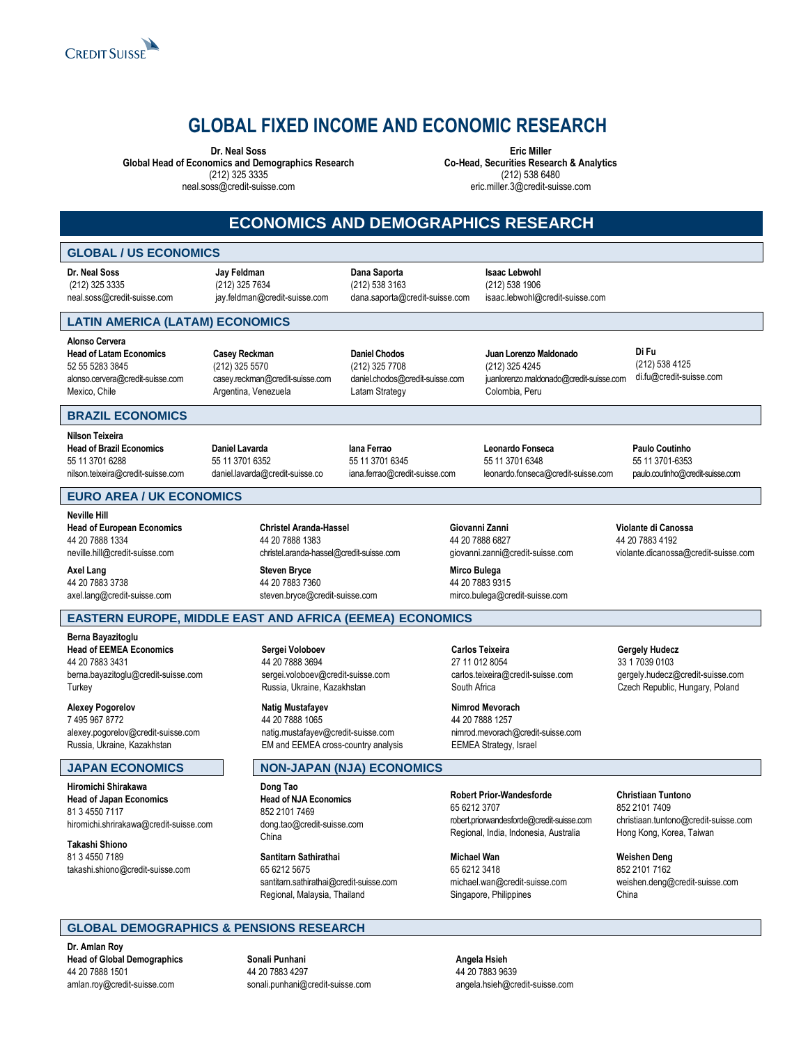

## **GLOBAL FIXED INCOME AND ECONOMIC RESEARCH**

**Dr. Neal Soss**

**Global Head of Economics and Demographics Research** (212) 325 3335

neal.soss@credit-suisse.com

**Eric Miller Co-Head, Securities Research & Analytics**  (212) 538 6480 eric.miller.3@credit-suisse.com

## **ECONOMICS AND DEMOGRAPHICS RESEARCH**

#### **GLOBAL / US ECONOMICS**

**Dr. Neal Soss** (212) 325 3335 neal.soss@credit-suisse.com **Jay Feldman** (212) 325 7634 jay.feldman@credit-suisse.com

**Dana Saporta** (212) 538 3163

dana.saporta@credit-suisse.com

**Isaac Lebwohl** (212) 538 1906 isaac.lebwohl@credit-suisse.com

**LATIN AMERICA (LATAM) ECONOMICS**

**Alonso Cervera Head of Latam Economics** 52 55 5283 3845 [alonso.cervera@credit-suisse.com](mailto:alonso.cervera@csfb.com) Mexico, Chile

**Casey Reckman** (212) 325 5570 casey.reckman@credit-suisse.com Argentina, Venezuela

**Daniel Chodos** (212) 325 7708 daniel.chodos@credit-suisse.com Latam Strategy

**Juan Lorenzo Maldonado** (212) 325 4245 juanlorenzo.maldonado@credit-suisse.com Colombia, Peru

**Di Fu** (212) 538 4125 di.fu@credit-suisse.com

#### **BRAZIL ECONOMICS**

**Nilson Teixeira Head of Brazil Economics** 55 11 3701 6288 nilson.teixeira@credit-suisse.com

**Daniel Lavarda** 55 11 3701 6352 daniel.lavarda@credit-suisse.co

**Iana Ferrao** 55 11 3701 6345 iana.ferrao@credit-suisse.com

**Leonardo Fonseca** 55 11 3701 6348 leonardo.fonseca@credit-suisse.com **Paulo Coutinho** 55 11 3701-6353 paulo.coutinho@credit-suisse.com

violante.dicanossa@credit-suisse.com

**Violante di Canossa** 44 20 7883 4192

#### **EURO AREA / UK ECONOMICS**

**Neville Hill Head of European Economics** 44 20 7888 1334 neville.hill@credit-suisse.com

**Axel Lang** 44 20 7883 3738 axel.lang@credit-suisse.com

[berna.bayazitoglu@credit-suisse.com](mailto:berna.bayazitoglu@csfb.com)

alexey.pogorelov@credit-suisse.com Russia, Ukraine, Kazakhstan

hiromichi.shrirakawa@credit-suisse.com

takashi.shiono@credit-suisse.com

**Berna Bayazitoglu Head of EEMEA Economics** 44 20 7883 3431

**Alexey Pogorelov** 7 495 967 8772

**Hiromichi Shirakawa Head of Japan Economics** 81 3 4550 7117

**Takashi Shiono** 81 3 4550 7189

**Turkey** 

**Christel Aranda-Hassel** 44 20 7888 1383 christel.aranda-hassel@credit-suisse.com

**Steven Bryce** 44 20 7883 7360 steven.bryce@credit-suisse.com

[sergei.voloboev@credit-suisse.com](mailto:sergei.voloboev@credit-suisse.com) Russia, Ukraine, Kazakhstan

natig.mustafayev@credit-suisse.com EM and EEMEA cross-country analysis

**Sergei Voloboev** 44 20 7888 3694

**Natig Mustafayev** 44 20 7888 1065

**Dong Tao**

China

**Head of NJA Economics** 852 2101 7469

**Santitarn Sathirathai** 65 6212 5675

[dong.tao@credit-suisse.com](mailto:dong.tao@csfb.com)

santitarn.sathirathai@credit-suisse.com Regional, Malaysia, Thailand

**Carlos Teixeira** 27 11 012 8054

carlos.teixeira@credit-suisse.com South Africa

**Nimrod Mevorach** 44 20 7888 1257 nimrod.mevorach@credit-suisse.com EEMEA Strategy, Israel

**Gergely Hudecz** 33 1 7039 0103

gergely.hudecz@credit-suisse.com Czech Republic, Hungary, Poland

**JAPAN ECONOMICS NON-JAPAN (NJA) ECONOMICS Robert Prior-Wandesforde** 65 6212 3707

robert.priorwandesforde@credit-suisse.com Regional, India, Indonesia, Australia

**Michael Wan** 65 6212 3418 michael.wan@credit-suisse.com Singapore, Philippines

**Christiaan Tuntono** 852 2101 7409 christiaan.tuntono@credit-suisse.com Hong Kong, Korea, Taiwan

**Weishen Deng** 852 2101 7162 weishen.deng@credit-suisse.com China

### **GLOBAL DEMOGRAPHICS & PENSIONS RESEARCH**

**Dr. Amlan Roy Head of Global Demographics** 44 20 7888 1501 amlan.roy@credit-suisse.com

**Sonali Punhani** 44 20 7883 4297 sonali.punhani@credit-suisse.com **Angela Hsieh** 44 20 7883 9639 angela.hsieh@credit-suisse.com

44 20 7883 9315 mirco.bulega@credit-suisse.com **EASTERN EUROPE, MIDDLE EAST AND AFRICA (EEMEA) ECONOMICS**

44 20 7888 6827 giovanni.zanni@credit-suisse.com **Mirco Bulega**

**Giovanni Zanni**